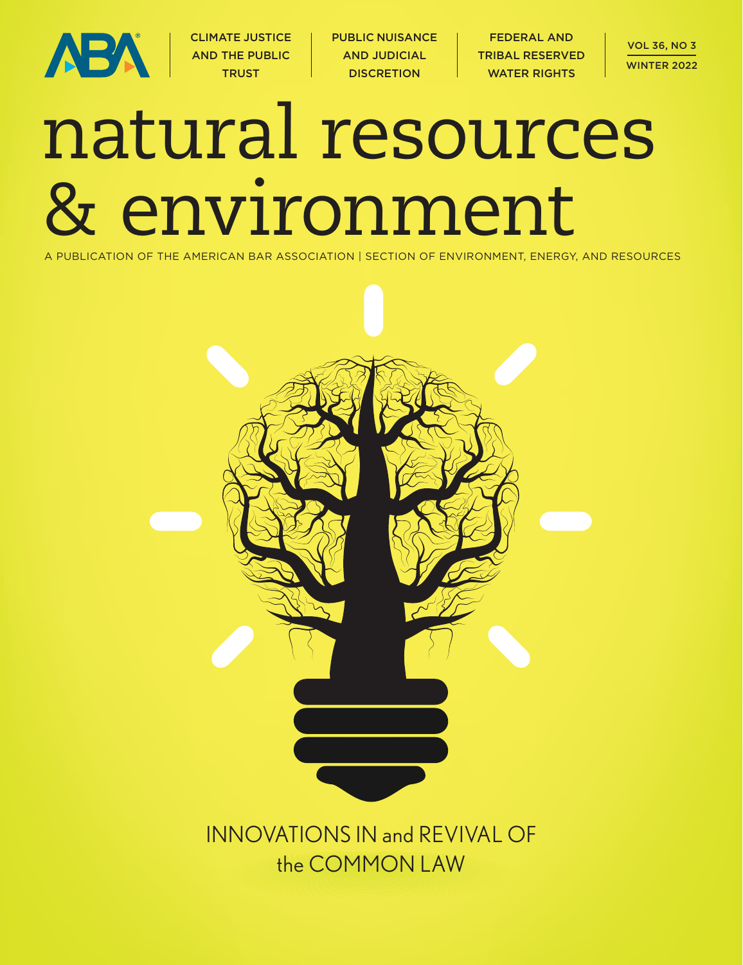

CLIMATE JUSTICE AND THE PUBLIC **TRUST** 

PUBLIC NUISANCE AND JUDICIAL **DISCRETION** 

FEDERAL AND TRIBAL RESERVED WATER RIGHTS

# natural resources & environment

A PUBLICATION OF THE AMERICAN BAR ASSOCIATION | SECTION OF ENVIRONMENT, ENERGY, AND RESOURCES

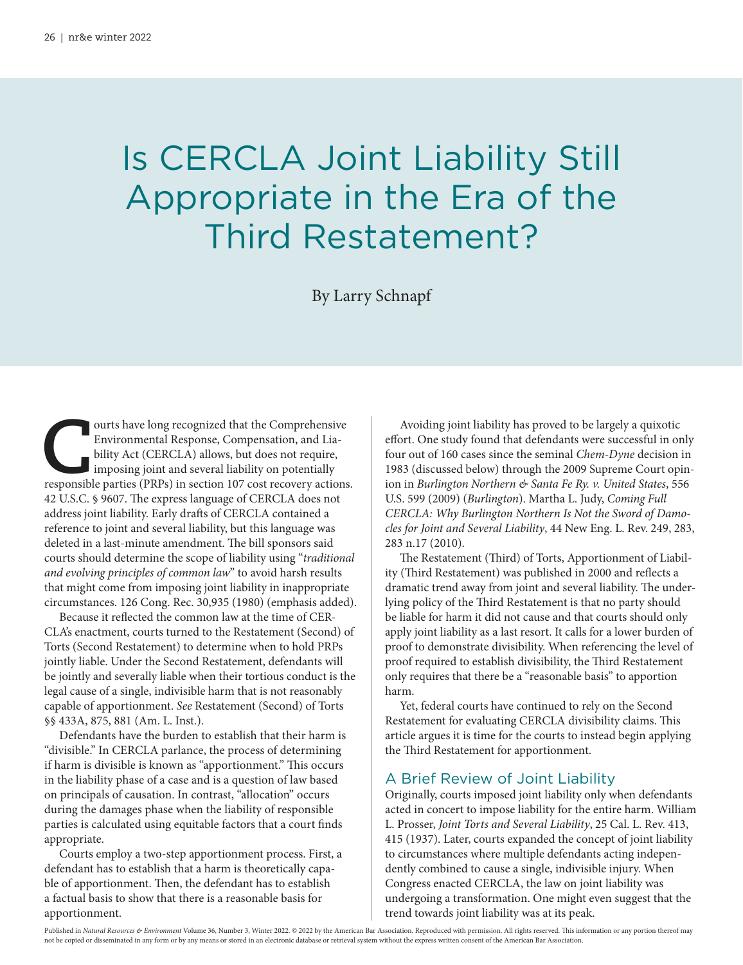## Is CERCLA Joint Liability Still Appropriate in the Era of the Third Restatement?

By Larry Schnapf

**C** ourts have long recognized that the Comprehensive Environmental Response, Compensation, and Liability Act (CERCLA) allows, but does not require, imposing joint and several liability on potentially responsible parties (PRPs) in section 107 cost recovery actions. 42 U.S.C. § 9607. The express language of CERCLA does not address joint liability. Early drafts of CERCLA contained a reference to joint and several liability, but this language was deleted in a last-minute amendment. The bill sponsors said courts should determine the scope of liability using "traditional and evolving principles of common law" to avoid harsh results that might come from imposing joint liability in inappropriate circumstances. 126 Cong. Rec. 30,935 (1980) (emphasis added).

Because it reflected the common law at the time of CER-CLA's enactment, courts turned to the Restatement (Second) of Torts (Second Restatement) to determine when to hold PRPs jointly liable. Under the Second Restatement, defendants will be jointly and severally liable when their tortious conduct is the legal cause of a single, indivisible harm that is not reasonably capable of apportionment. See Restatement (Second) of Torts §§ 433A, 875, 881 (Am. L. Inst.).

Defendants have the burden to establish that their harm is "divisible." In CERCLA parlance, the process of determining if harm is divisible is known as "apportionment." This occurs in the liability phase of a case and is a question of law based on principals of causation. In contrast, "allocation" occurs during the damages phase when the liability of responsible parties is calculated using equitable factors that a court finds appropriate.

Courts employ a two-step apportionment process. First, a defendant has to establish that a harm is theoretically capable of apportionment. Then, the defendant has to establish a factual basis to show that there is a reasonable basis for apportionment.

Avoiding joint liability has proved to be largely a quixotic effort. One study found that defendants were successful in only four out of 160 cases since the seminal Chem-Dyne decision in 1983 (discussed below) through the 2009 Supreme Court opinion in Burlington Northern & Santa Fe Ry. v. United States, 556 U.S. 599 (2009) (Burlington). Martha L. Judy, Coming Full CERCLA: Why Burlington Northern Is Not the Sword of Damocles for Joint and Several Liability, 44 New Eng. L. Rev. 249, 283, 283 n.17 (2010).

The Restatement (Third) of Torts, Apportionment of Liability (Third Restatement) was published in 2000 and reflects a dramatic trend away from joint and several liability. The underlying policy of the Third Restatement is that no party should be liable for harm it did not cause and that courts should only apply joint liability as a last resort. It calls for a lower burden of proof to demonstrate divisibility. When referencing the level of proof required to establish divisibility, the Third Restatement only requires that there be a "reasonable basis" to apportion harm.

Yet, federal courts have continued to rely on the Second Restatement for evaluating CERCLA divisibility claims. This article argues it is time for the courts to instead begin applying the Third Restatement for apportionment.

#### A Brief Review of Joint Liability

Originally, courts imposed joint liability only when defendants acted in concert to impose liability for the entire harm. William L. Prosser, Joint Torts and Several Liability, 25 Cal. L. Rev. 413, 415 (1937). Later, courts expanded the concept of joint liability to circumstances where multiple defendants acting independently combined to cause a single, indivisible injury. When Congress enacted CERCLA, the law on joint liability was undergoing a transformation. One might even suggest that the trend towards joint liability was at its peak.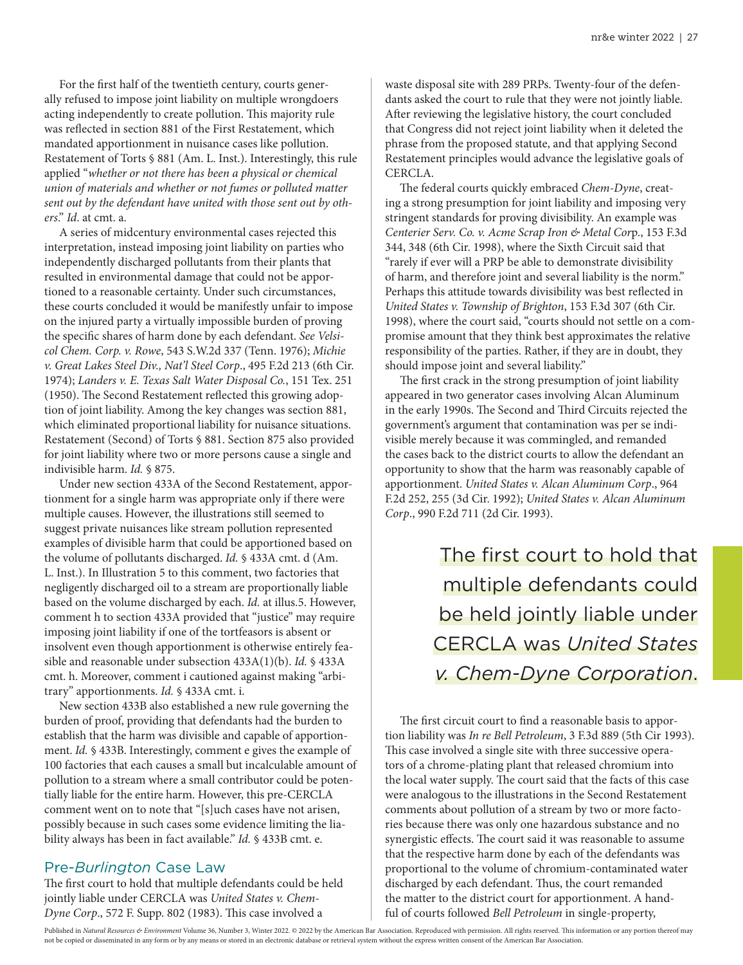For the first half of the twentieth century, courts generally refused to impose joint liability on multiple wrongdoers acting independently to create pollution. This majority rule was reflected in section 881 of the First Restatement, which mandated apportionment in nuisance cases like pollution. Restatement of Torts § 881 (Am. L. Inst.). Interestingly, this rule applied "whether or not there has been a physical or chemical union of materials and whether or not fumes or polluted matter sent out by the defendant have united with those sent out by others." Id. at cmt. a.

A series of midcentury environmental cases rejected this interpretation, instead imposing joint liability on parties who independently discharged pollutants from their plants that resulted in environmental damage that could not be apportioned to a reasonable certainty. Under such circumstances, these courts concluded it would be manifestly unfair to impose on the injured party a virtually impossible burden of proving the specific shares of harm done by each defendant. See Velsicol Chem. Corp. v. Rowe, 543 S.W.2d 337 (Tenn. 1976); Michie v. Great Lakes Steel Div., Nat'l Steel Corp., 495 F.2d 213 (6th Cir. 1974); Landers v. E. Texas Salt Water Disposal Co., 151 Tex. 251 (1950). The Second Restatement reflected this growing adoption of joint liability. Among the key changes was section 881, which eliminated proportional liability for nuisance situations. Restatement (Second) of Torts § 881. Section 875 also provided for joint liability where two or more persons cause a single and indivisible harm. Id. § 875.

Under new section 433A of the Second Restatement, apportionment for a single harm was appropriate only if there were multiple causes. However, the illustrations still seemed to suggest private nuisances like stream pollution represented examples of divisible harm that could be apportioned based on the volume of pollutants discharged. Id. § 433A cmt. d (Am. L. Inst.). In Illustration 5 to this comment, two factories that negligently discharged oil to a stream are proportionally liable based on the volume discharged by each. Id. at illus.5. However, comment h to section 433A provided that "justice" may require imposing joint liability if one of the tortfeasors is absent or insolvent even though apportionment is otherwise entirely feasible and reasonable under subsection 433A(1)(b). Id. § 433A cmt. h. Moreover, comment i cautioned against making "arbitrary" apportionments. Id. § 433A cmt. i.

New section 433B also established a new rule governing the burden of proof, providing that defendants had the burden to establish that the harm was divisible and capable of apportionment. Id. § 433B. Interestingly, comment e gives the example of 100 factories that each causes a small but incalculable amount of pollution to a stream where a small contributor could be potentially liable for the entire harm. However, this pre-CERCLA comment went on to note that "[s]uch cases have not arisen, possibly because in such cases some evidence limiting the liability always has been in fact available." Id. § 433B cmt. e.

#### Pre-*Burlington* Case Law

The first court to hold that multiple defendants could be held jointly liable under CERCLA was United States v. Chem-Dyne Corp., 572 F. Supp. 802 (1983). This case involved a

waste disposal site with 289 PRPs. Twenty-four of the defendants asked the court to rule that they were not jointly liable. After reviewing the legislative history, the court concluded that Congress did not reject joint liability when it deleted the phrase from the proposed statute, and that applying Second Restatement principles would advance the legislative goals of CERCLA.

The federal courts quickly embraced Chem-Dyne, creating a strong presumption for joint liability and imposing very stringent standards for proving divisibility. An example was Centerier Serv. Co. v. Acme Scrap Iron & Metal Corp., 153 F.3d 344, 348 (6th Cir. 1998), where the Sixth Circuit said that "rarely if ever will a PRP be able to demonstrate divisibility of harm, and therefore joint and several liability is the norm." Perhaps this attitude towards divisibility was best reflected in United States v. Township of Brighton, 153 F.3d 307 (6th Cir. 1998), where the court said, "courts should not settle on a compromise amount that they think best approximates the relative responsibility of the parties. Rather, if they are in doubt, they should impose joint and several liability."

The first crack in the strong presumption of joint liability appeared in two generator cases involving Alcan Aluminum in the early 1990s. The Second and Third Circuits rejected the government's argument that contamination was per se indivisible merely because it was commingled, and remanded the cases back to the district courts to allow the defendant an opportunity to show that the harm was reasonably capable of apportionment. United States v. Alcan Aluminum Corp., 964 F.2d 252, 255 (3d Cir. 1992); United States v. Alcan Aluminum Corp., 990 F.2d 711 (2d Cir. 1993).

> The first court to hold that multiple defendants could be held jointly liable under CERCLA was *United States v. Chem-Dyne Corporation*.

The first circuit court to find a reasonable basis to apportion liability was In re Bell Petroleum, 3 F.3d 889 (5th Cir 1993). This case involved a single site with three successive operators of a chrome-plating plant that released chromium into the local water supply. The court said that the facts of this case were analogous to the illustrations in the Second Restatement comments about pollution of a stream by two or more factories because there was only one hazardous substance and no synergistic effects. The court said it was reasonable to assume that the respective harm done by each of the defendants was proportional to the volume of chromium-contaminated water discharged by each defendant. Thus, the court remanded the matter to the district court for apportionment. A handful of courts followed Bell Petroleum in single-property,

Published in Natural Resources & Environment Volume 36, Number 3, Winter 2022. © 2022 by the American Bar Association. Reproduced with permission. All rights reserved. This information or any portion thereof may not be copied or disseminated in any form or by any means or stored in an electronic database or retrieval system without the express written consent of the American Bar Association.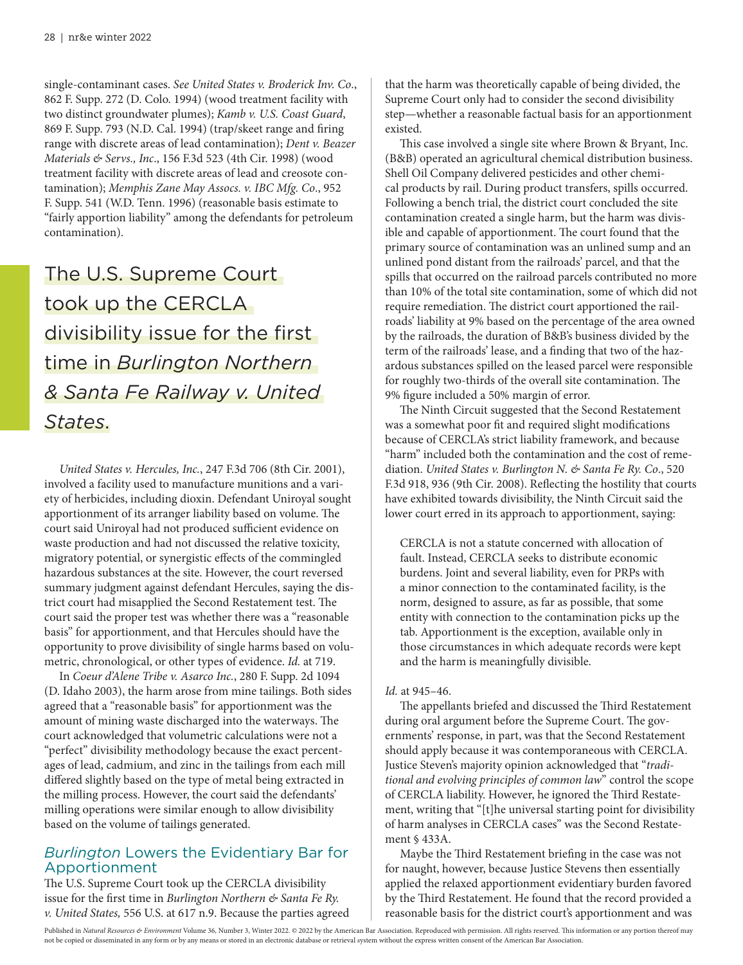single-contaminant cases. See United States v. Broderick Inv. Co., 862 F. Supp. 272 (D. Colo. 1994) (wood treatment facility with two distinct groundwater plumes); Kamb v. U.S. Coast Guard, 869 F. Supp. 793 (N.D. Cal. 1994) (trap/skeet range and firing range with discrete areas of lead contamination); Dent v. Beazer Materials & Servs., Inc., 156 F.3d 523 (4th Cir. 1998) (wood treatment facility with discrete areas of lead and creosote contamination); Memphis Zane May Assocs. v. IBC Mfg. Co., 952 F. Supp. 541 (W.D. Tenn. 1996) (reasonable basis estimate to "fairly apportion liability" among the defendants for petroleum contamination).

### The U.S. Supreme Court took up the CERCLA divisibility issue for the first time in *Burlington Northern & Santa Fe Railway v. United States*.

United States v. Hercules, Inc., 247 F.3d 706 (8th Cir. 2001), involved a facility used to manufacture munitions and a variety of herbicides, including dioxin. Defendant Uniroyal sought apportionment of its arranger liability based on volume. The court said Uniroyal had not produced sufficient evidence on waste production and had not discussed the relative toxicity, migratory potential, or synergistic effects of the commingled hazardous substances at the site. However, the court reversed summary judgment against defendant Hercules, saying the district court had misapplied the Second Restatement test. The court said the proper test was whether there was a "reasonable basis" for apportionment, and that Hercules should have the opportunity to prove divisibility of single harms based on volumetric, chronological, or other types of evidence. Id. at 719.

In Coeur d'Alene Tribe v. Asarco Inc., 280 F. Supp. 2d 1094 (D. Idaho 2003), the harm arose from mine tailings. Both sides agreed that a "reasonable basis" for apportionment was the amount of mining waste discharged into the waterways. The court acknowledged that volumetric calculations were not a "perfect" divisibility methodology because the exact percentages of lead, cadmium, and zinc in the tailings from each mill differed slightly based on the type of metal being extracted in the milling process. However, the court said the defendants' milling operations were similar enough to allow divisibility based on the volume of tailings generated.

#### *Burlington* Lowers the Evidentiary Bar for Apportionment

The U.S. Supreme Court took up the CERCLA divisibility issue for the first time in Burlington Northern & Santa Fe Ry. v. United States, 556 U.S. at 617 n.9. Because the parties agreed that the harm was theoretically capable of being divided, the Supreme Court only had to consider the second divisibility step—whether a reasonable factual basis for an apportionment existed.

This case involved a single site where Brown & Bryant, Inc. (B&B) operated an agricultural chemical distribution business. Shell Oil Company delivered pesticides and other chemical products by rail. During product transfers, spills occurred. Following a bench trial, the district court concluded the site contamination created a single harm, but the harm was divisible and capable of apportionment. The court found that the primary source of contamination was an unlined sump and an unlined pond distant from the railroads' parcel, and that the spills that occurred on the railroad parcels contributed no more than 10% of the total site contamination, some of which did not require remediation. The district court apportioned the railroads' liability at 9% based on the percentage of the area owned by the railroads, the duration of B&B's business divided by the term of the railroads' lease, and a finding that two of the hazardous substances spilled on the leased parcel were responsible for roughly two-thirds of the overall site contamination. The 9% figure included a 50% margin of error.

The Ninth Circuit suggested that the Second Restatement was a somewhat poor fit and required slight modifications because of CERCLA's strict liability framework, and because "harm" included both the contamination and the cost of remediation. United States v. Burlington N. & Santa Fe Ry. Co., 520 F.3d 918, 936 (9th Cir. 2008). Reflecting the hostility that courts have exhibited towards divisibility, the Ninth Circuit said the lower court erred in its approach to apportionment, saying:

CERCLA is not a statute concerned with allocation of fault. Instead, CERCLA seeks to distribute economic burdens. Joint and several liability, even for PRPs with a minor connection to the contaminated facility, is the norm, designed to assure, as far as possible, that some entity with connection to the contamination picks up the tab. Apportionment is the exception, available only in those circumstances in which adequate records were kept and the harm is meaningfully divisible.

#### Id. at 945–46.

The appellants briefed and discussed the Third Restatement during oral argument before the Supreme Court. The governments' response, in part, was that the Second Restatement should apply because it was contemporaneous with CERCLA. Justice Steven's majority opinion acknowledged that "traditional and evolving principles of common law" control the scope of CERCLA liability. However, he ignored the Third Restatement, writing that "[t]he universal starting point for divisibility of harm analyses in CERCLA cases" was the Second Restatement § 433A.

Maybe the Third Restatement briefing in the case was not for naught, however, because Justice Stevens then essentially applied the relaxed apportionment evidentiary burden favored by the Third Restatement. He found that the record provided a reasonable basis for the district court's apportionment and was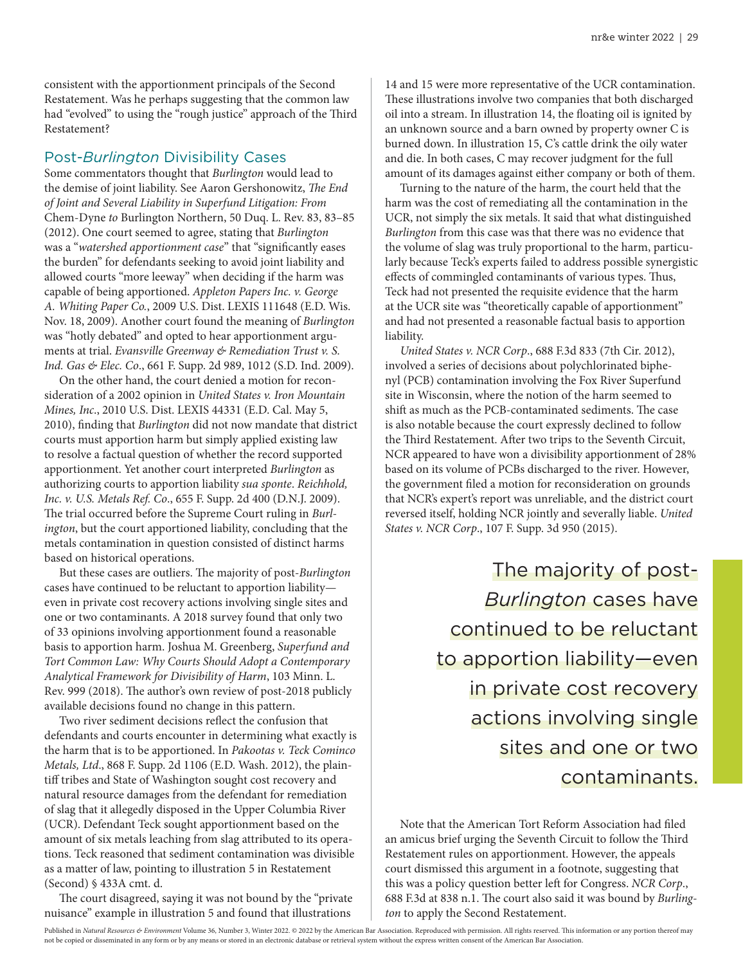consistent with the apportionment principals of the Second Restatement. Was he perhaps suggesting that the common law had "evolved" to using the "rough justice" approach of the Third Restatement?

#### Post-*Burlington* Divisibility Cases

Some commentators thought that Burlington would lead to the demise of joint liability. See Aaron Gershonowitz, The End of Joint and Several Liability in Superfund Litigation: From Chem-Dyne to Burlington Northern, 50 Duq. L. Rev. 83, 83–85 (2012). One court seemed to agree, stating that Burlington was a "watershed apportionment case" that "significantly eases the burden" for defendants seeking to avoid joint liability and allowed courts "more leeway" when deciding if the harm was capable of being apportioned. Appleton Papers Inc. v. George A. Whiting Paper Co., 2009 U.S. Dist. LEXIS 111648 (E.D. Wis. Nov. 18, 2009). Another court found the meaning of Burlington was "hotly debated" and opted to hear apportionment arguments at trial. Evansville Greenway & Remediation Trust v. S. Ind. Gas & Elec. Co., 661 F. Supp. 2d 989, 1012 (S.D. Ind. 2009).

On the other hand, the court denied a motion for reconsideration of a 2002 opinion in United States v. Iron Mountain Mines, Inc., 2010 U.S. Dist. LEXIS 44331 (E.D. Cal. May 5, 2010), finding that Burlington did not now mandate that district courts must apportion harm but simply applied existing law to resolve a factual question of whether the record supported apportionment. Yet another court interpreted Burlington as authorizing courts to apportion liability sua sponte. Reichhold, Inc. v. U.S. Metals Ref. Co., 655 F. Supp. 2d 400 (D.N.J. 2009). The trial occurred before the Supreme Court ruling in Burlington, but the court apportioned liability, concluding that the metals contamination in question consisted of distinct harms based on historical operations.

But these cases are outliers. The majority of post-Burlington cases have continued to be reluctant to apportion liability even in private cost recovery actions involving single sites and one or two contaminants. A 2018 survey found that only two of 33 opinions involving apportionment found a reasonable basis to apportion harm. Joshua M. Greenberg, Superfund and Tort Common Law: Why Courts Should Adopt a Contemporary Analytical Framework for Divisibility of Harm, 103 Minn. L. Rev. 999 (2018). The author's own review of post-2018 publicly available decisions found no change in this pattern.

Two river sediment decisions reflect the confusion that defendants and courts encounter in determining what exactly is the harm that is to be apportioned. In Pakootas v. Teck Cominco Metals, Ltd., 868 F. Supp. 2d 1106 (E.D. Wash. 2012), the plaintiff tribes and State of Washington sought cost recovery and natural resource damages from the defendant for remediation of slag that it allegedly disposed in the Upper Columbia River (UCR). Defendant Teck sought apportionment based on the amount of six metals leaching from slag attributed to its operations. Teck reasoned that sediment contamination was divisible as a matter of law, pointing to illustration 5 in Restatement (Second) § 433A cmt. d.

The court disagreed, saying it was not bound by the "private nuisance" example in illustration 5 and found that illustrations

14 and 15 were more representative of the UCR contamination. These illustrations involve two companies that both discharged oil into a stream. In illustration 14, the floating oil is ignited by an unknown source and a barn owned by property owner C is burned down. In illustration 15, C's cattle drink the oily water and die. In both cases, C may recover judgment for the full amount of its damages against either company or both of them.

Turning to the nature of the harm, the court held that the harm was the cost of remediating all the contamination in the UCR, not simply the six metals. It said that what distinguished Burlington from this case was that there was no evidence that the volume of slag was truly proportional to the harm, particularly because Teck's experts failed to address possible synergistic effects of commingled contaminants of various types. Thus, Teck had not presented the requisite evidence that the harm at the UCR site was "theoretically capable of apportionment" and had not presented a reasonable factual basis to apportion liability.

United States v. NCR Corp., 688 F.3d 833 (7th Cir. 2012), involved a series of decisions about polychlorinated biphenyl (PCB) contamination involving the Fox River Superfund site in Wisconsin, where the notion of the harm seemed to shift as much as the PCB-contaminated sediments. The case is also notable because the court expressly declined to follow the Third Restatement. After two trips to the Seventh Circuit, NCR appeared to have won a divisibility apportionment of 28% based on its volume of PCBs discharged to the river. However, the government filed a motion for reconsideration on grounds that NCR's expert's report was unreliable, and the district court reversed itself, holding NCR jointly and severally liable. United States v. NCR Corp., 107 F. Supp. 3d 950 (2015).

> The majority of post-*Burlington* cases have continued to be reluctant to apportion liability—even in private cost recovery actions involving single sites and one or two contaminants.

Note that the American Tort Reform Association had filed an amicus brief urging the Seventh Circuit to follow the Third Restatement rules on apportionment. However, the appeals court dismissed this argument in a footnote, suggesting that this was a policy question better left for Congress. NCR Corp., 688 F.3d at 838 n.1. The court also said it was bound by Burlington to apply the Second Restatement.